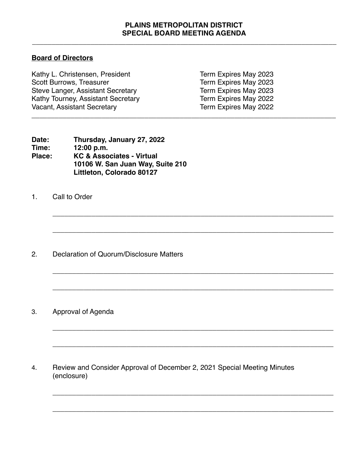## **PLAINS METROPOLITAN DISTRICT SPECIAL BOARD MEETING AGENDA**

\_\_\_\_\_\_\_\_\_\_\_\_\_\_\_\_\_\_\_\_\_\_\_\_\_\_\_\_\_\_\_\_\_\_\_\_\_\_\_\_\_\_\_\_\_\_\_\_\_\_\_\_\_\_\_\_\_\_\_\_\_\_\_\_\_\_\_\_\_\_\_\_\_\_\_\_\_\_

**\_\_\_\_\_\_\_\_\_\_\_\_\_\_\_\_\_\_\_\_\_\_\_\_\_\_\_\_\_\_\_\_\_\_\_\_\_\_\_\_\_\_\_\_\_\_\_\_\_\_\_\_\_\_\_\_\_\_\_\_\_\_\_\_\_\_\_\_\_\_\_\_**

**\_\_\_\_\_\_\_\_\_\_\_\_\_\_\_\_\_\_\_\_\_\_\_\_\_\_\_\_\_\_\_\_\_\_\_\_\_\_\_\_\_\_\_\_\_\_\_\_\_\_\_\_\_\_\_\_\_\_\_\_\_\_\_\_\_\_\_\_\_\_\_\_**

**\_\_\_\_\_\_\_\_\_\_\_\_\_\_\_\_\_\_\_\_\_\_\_\_\_\_\_\_\_\_\_\_\_\_\_\_\_\_\_\_\_\_\_\_\_\_\_\_\_\_\_\_\_\_\_\_\_\_\_\_\_\_\_\_\_\_\_\_\_\_\_\_**

**\_\_\_\_\_\_\_\_\_\_\_\_\_\_\_\_\_\_\_\_\_\_\_\_\_\_\_\_\_\_\_\_\_\_\_\_\_\_\_\_\_\_\_\_\_\_\_\_\_\_\_\_\_\_\_\_\_\_\_\_\_\_\_\_\_\_\_\_\_\_\_\_**

**\_\_\_\_\_\_\_\_\_\_\_\_\_\_\_\_\_\_\_\_\_\_\_\_\_\_\_\_\_\_\_\_\_\_\_\_\_\_\_\_\_\_\_\_\_\_\_\_\_\_\_\_\_\_\_\_\_\_\_\_\_\_\_\_\_\_\_\_\_\_\_\_**

**\_\_\_\_\_\_\_\_\_\_\_\_\_\_\_\_\_\_\_\_\_\_\_\_\_\_\_\_\_\_\_\_\_\_\_\_\_\_\_\_\_\_\_\_\_\_\_\_\_\_\_\_\_\_\_\_\_\_\_\_\_\_\_\_\_\_\_\_\_\_\_\_**

\_\_\_\_\_\_\_\_\_\_\_\_\_\_\_\_\_\_\_\_\_\_\_\_\_\_\_\_\_\_\_\_\_\_\_\_\_\_\_\_\_\_\_\_\_\_\_\_\_\_\_\_\_\_\_\_\_\_\_\_\_\_\_\_\_\_\_\_\_\_\_\_

**\_\_\_\_\_\_\_\_\_\_\_\_\_\_\_\_\_\_\_\_\_\_\_\_\_\_\_\_\_\_\_\_\_\_\_\_\_\_\_\_\_\_\_\_\_\_\_\_\_\_\_\_\_\_\_\_\_\_\_\_\_\_\_\_\_\_\_\_\_\_\_\_**

## **Board of Directors**

| Kathy L. Christensen, President          | Term Expires May 2023 |  |
|------------------------------------------|-----------------------|--|
| <b>Scott Burrows, Treasurer</b>          | Term Expires May 2023 |  |
| <b>Steve Langer, Assistant Secretary</b> | Term Expires May 2023 |  |
| Kathy Tourney, Assistant Secretary       | Term Expires May 2022 |  |
| <b>Vacant, Assistant Secretary</b>       | Term Expires May 2022 |  |
|                                          |                       |  |

| Date:  | Thursday, January 27, 2022           |
|--------|--------------------------------------|
| Time:  | 12:00 p.m.                           |
| Place: | <b>KC &amp; Associates - Virtual</b> |
|        | 10106 W. San Juan Way, Suite 210     |
|        | Littleton, Colorado 80127            |

1. Call to Order

2. Declaration of Quorum/Disclosure Matters

3. Approval of Agenda

4. Review and Consider Approval of December 2, 2021 Special Meeting Minutes (enclosure)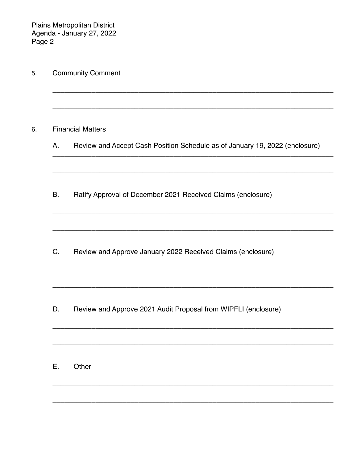Plains Metropolitan District<br>Agenda - January 27, 2022<br>Page 2

|           | <b>Financial Matters</b>                                                    |
|-----------|-----------------------------------------------------------------------------|
| А.        | Review and Accept Cash Position Schedule as of January 19, 2022 (enclosure) |
| <b>B.</b> | Ratify Approval of December 2021 Received Claims (enclosure)                |
| C.        | Review and Approve January 2022 Received Claims (enclosure)                 |
| D.        | Review and Approve 2021 Audit Proposal from WIPFLI (enclosure)              |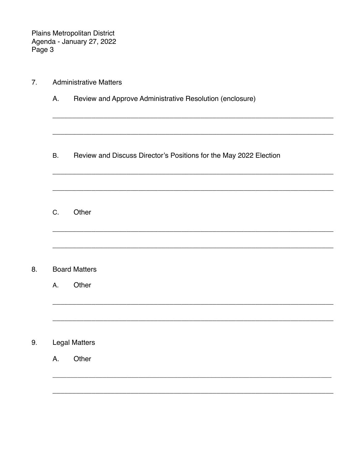Plains Metropolitan District<br>Agenda - January 27, 2022<br>Page 3

| 7 <sub>1</sub> |           | <b>Administrative Matters</b>                                     |  |  |  |
|----------------|-----------|-------------------------------------------------------------------|--|--|--|
|                | Α.        | Review and Approve Administrative Resolution (enclosure)          |  |  |  |
|                | <b>B.</b> | Review and Discuss Director's Positions for the May 2022 Election |  |  |  |
|                | C.        | Other                                                             |  |  |  |
|                |           |                                                                   |  |  |  |
| 8.             |           | <b>Board Matters</b>                                              |  |  |  |
|                | Α.        | Other                                                             |  |  |  |
| 9.             |           | <b>Legal Matters</b>                                              |  |  |  |
|                | Α.        | Other                                                             |  |  |  |
|                |           |                                                                   |  |  |  |